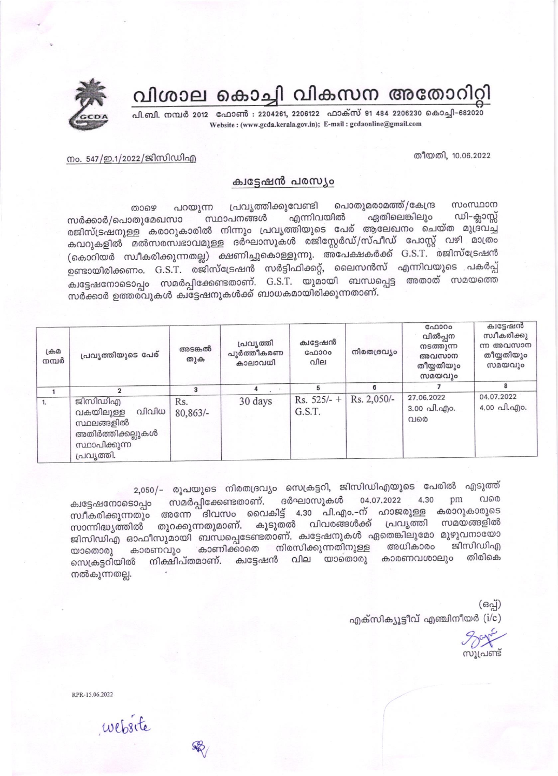വിശാല കൊച്ചി വികസന അതോറിറ്റി

പി.ബി. നമ്പർ 2012 ഫോൺ : 2204261, 2206122 ഫാക്സ് 91 484 2206230 കൊച്ചി-682020 Website: (www.gcda.kerala.gov.in); E-mail: gcdaonline@gmail.com

## തീയതി, 10.06.2022

## നം. 547/ഇ.1/2022/ജിസിഡിഎ

## ക്വട്ടേഷൻ പരസ്യം

പൊതുമരാമത്ത്/കേന്ദ്ര പ്രവൃത്തിക്കുവേണ്ടി സംസ്ഥാന പറയുന്ന താഴെ എന്നിവയിൽ ഡി–ക്ലാസ്സ് ഏതിലെങ്കിലും സ്ഥാപനങ്ങൾ സർക്കാർ/പൊതുമേഖസാ രജിസ്ട്രഷനുള്ള കരാറുകാരിൽ നിന്നും പ്രവൃത്തിയുടെ പേര് ആലേഖനം ചെയ്ത മുദ്രവച്ച കവറുകളിൽ മൽസരസ്വഭാവമുള്ള ദർഘാസുകൾ രജിസ്റ്റേർഡ്/സ്പീഡ് പോസ്റ്റ് വഴി മാത്രം (കൊറിയർ സ്വീകരിക്കുന്നതല്ല) ക്ഷണിച്ചുകൊള്ളുന്നു. അപേക്ഷകർക്ക് G.S.T. രജിസ്ട്രേഷൻ ഉണ്ടായിരിക്കണം. G.S.T. രജിസ്ട്രേഷൻ സർട്ടിഫിക്കറ്റ്, ലൈസൻസ് എന്നിവയുടെ പകർപ്പ് ക്വട്ടേഷനോടൊപ്പം സമർപ്പിക്കേണ്ടതാണ്. G.S.T. യുമായി ബന്ധപ്പെട്ട അതാത് സമയത്തെ സർക്കാർ ഉത്തരവുകൾ കിട്ടേഷനുകൾക്ക് ബാധകമായിരിക്കുന്നതാണ്.

| $L \oplus \mathcal{D}$<br>നമ്പർ | പ്രവൃത്തിയുടെ പേര്                                                                              | അടങ്കൽ<br>തുക     | പ്രവൃത്തി<br>പൂർത്തീകരണ<br>കാലാവധി | ക്വട്ടേഷൻ<br>ഫോറം<br>വില | നിരതദ്രവ്യം | GAD300<br>വിൽപ്പന<br>നടത്തുന്ന<br>അവസാന<br>തീയ്യതിയും<br>സമയവും | ക്വട്ടേഷൻ<br>സ്വീകരിക്കു<br>ന്ന അവസാന<br>തീയ്യതിയും<br>സമയവും |
|---------------------------------|-------------------------------------------------------------------------------------------------|-------------------|------------------------------------|--------------------------|-------------|-----------------------------------------------------------------|---------------------------------------------------------------|
|                                 | っ                                                                                               |                   |                                    |                          | 6           |                                                                 | 8                                                             |
|                                 | ജിസിഡിഎ<br>വിവിധ<br>വകയിലുള്ള<br>സ്ഥലങ്ങളിൽ<br>അതിർത്തിക്കല്ലുകൾ<br>സ്ഥാപിക്കുന്ന<br>പ്രവൃത്തി. | Rs.<br>$80,863/-$ | 30 days                            | $Rs. 525/- +$<br>G.S.T.  | Rs. 2,050/- | 27.06.2022<br>3.00 പി.എം.<br>വരെ                                | 04.07.2022<br>4.00 வி.வு)o.                                   |

2,050/– രൂപയുടെ നിരതദ്രവ്യം സെക്രട്ടറി, ജിസിഡിഎയുടെ പേരിൽ എടുത്ത് 4.30 വരെ സമർപ്പിക്കേണ്ടതാണ്. ദർഘാസുകൾ 04.07.2022 pm ക്വട്ടേഷനോടൊപ്പം സ്ഥീകരിക്കുന്നതും അന്നേ ദിവസം വൈകിട്ട് 4.30 പി.എം.–ന് ഹാജരുള്ള കരാറുകാരുടെ സാന്നിദ്ധ്യത്തിൽ തുറക്കുന്നതുമാണ്. കൂടുതൽ വിവരങ്ങൾക്ക് പ്രവൃത്തി സമയങ്ങളിൽ ജിസിഡിഎ ഓഫീസുമായി ബന്ധപ്പെടേണ്ടതാണ്. ക്വട്ടേഷനുകൾ ഏതെങ്കിലുമോ മുഴുവനായോ കാരണവും കാണിക്കാതെ നിരസിക്കുന്നതിനുള്ള അധികാരം ജിസിഡിഎ  $\omega$ o 6 0 0 0 0 0  $\omega$ നിക്ഷിപ്തമാണ്. ക്വട്ടേഷൻ വില യാതൊരു കാരണവശാലും തിരികെ സെക്രട്ടറിയിൽ നൽകുന്നതല്ല.

> (ഒപ്പ്) എക്സിക്യൂട്ടീവ് എഞ്ചിനീയർ  $(i/c)$

സൂപ്രണ്ട്

RPR-15.06.2022

website